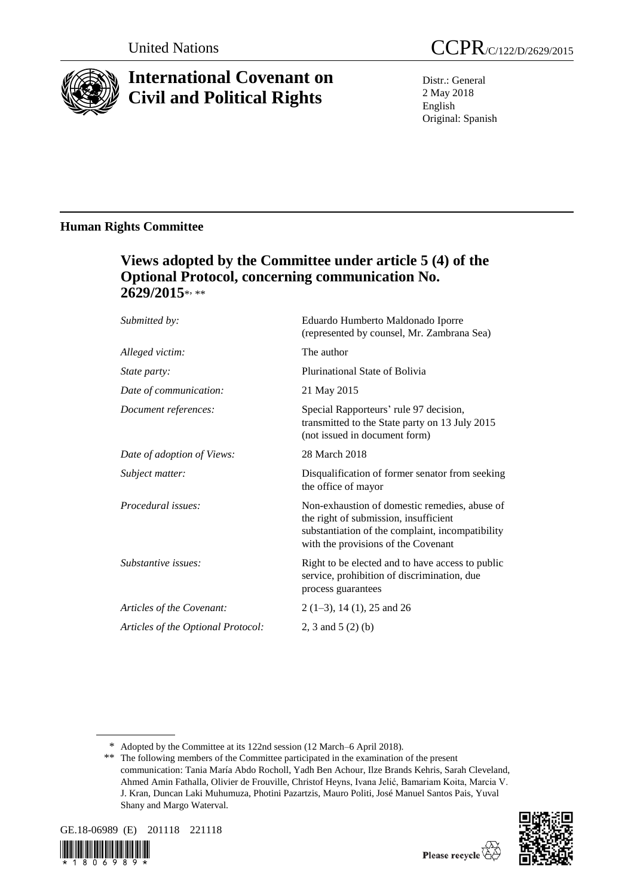

# **International Covenant on Civil and Political Rights**

Distr.: General 2 May 2018 English Original: Spanish

# **Human Rights Committee**

# **Views adopted by the Committee under article 5 (4) of the Optional Protocol, concerning communication No. 2629/2015**\* , \*\*

| Submitted by:                      | Eduardo Humberto Maldonado Iporre<br>(represented by counsel, Mr. Zambrana Sea)                                                                                                   |
|------------------------------------|-----------------------------------------------------------------------------------------------------------------------------------------------------------------------------------|
| Alleged victim:                    | The author                                                                                                                                                                        |
| State party:                       | Plurinational State of Bolivia                                                                                                                                                    |
| Date of communication:             | 21 May 2015                                                                                                                                                                       |
| Document references:               | Special Rapporteurs' rule 97 decision,<br>transmitted to the State party on 13 July 2015<br>(not issued in document form)                                                         |
| Date of adoption of Views:         | 28 March 2018                                                                                                                                                                     |
| Subject matter:                    | Disqualification of former senator from seeking<br>the office of mayor                                                                                                            |
| Procedural issues:                 | Non-exhaustion of domestic remedies, abuse of<br>the right of submission, insufficient<br>substantiation of the complaint, incompatibility<br>with the provisions of the Covenant |
| Substantive issues:                | Right to be elected and to have access to public<br>service, prohibition of discrimination, due<br>process guarantees                                                             |
| Articles of the Covenant:          | $2(1-3)$ , 14 (1), 25 and 26                                                                                                                                                      |
| Articles of the Optional Protocol: | 2, 3 and 5 $(2)$ (b)                                                                                                                                                              |
|                                    |                                                                                                                                                                                   |

\* Adopted by the Committee at its 122nd session (12 March–6 April 2018).

<sup>\*\*</sup> The following members of the Committee participated in the examination of the present communication: Tania María Abdo Rocholl, Yadh Ben Achour, Ilze Brands Kehris, Sarah Cleveland, Ahmed Amin Fathalla, Olivier de Frouville, Christof Heyns, Ivana Jelić, Bamariam Koita, Marcia V. J. Kran, Duncan Laki Muhumuza, Photini Pazartzis, Mauro Politi, José Manuel Santos Pais, Yuval Shany and Margo Waterval.







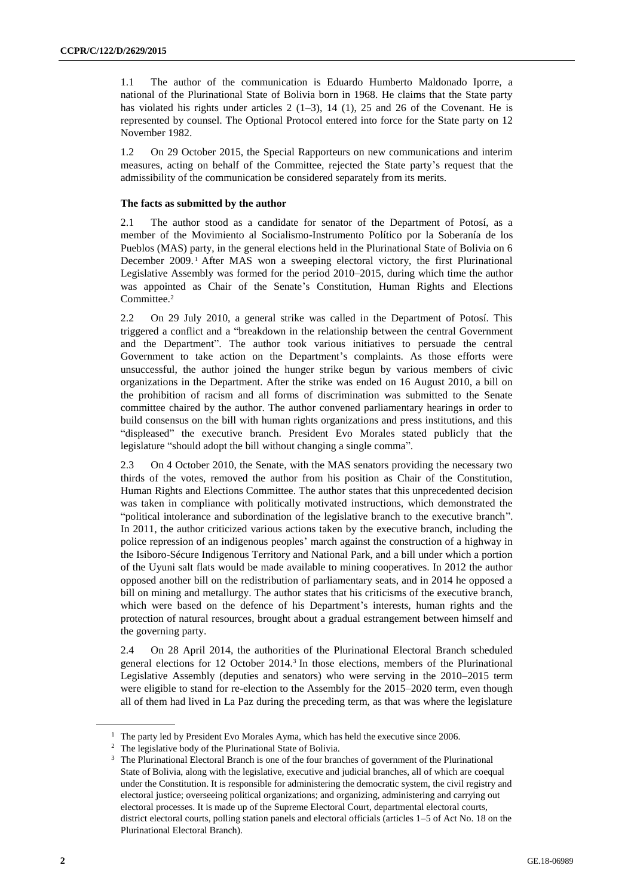1.1 The author of the communication is Eduardo Humberto Maldonado Iporre, a national of the Plurinational State of Bolivia born in 1968. He claims that the State party has violated his rights under articles  $2(1-3)$ ,  $14(1)$ ,  $25$  and  $26$  of the Covenant. He is represented by counsel. The Optional Protocol entered into force for the State party on 12 November 1982.

1.2 On 29 October 2015, the Special Rapporteurs on new communications and interim measures, acting on behalf of the Committee, rejected the State party's request that the admissibility of the communication be considered separately from its merits.

# **The facts as submitted by the author**

2.1 The author stood as a candidate for senator of the Department of Potosí, as a member of the Movimiento al Socialismo-Instrumento Político por la Soberanía de los Pueblos (MAS) party, in the general elections held in the Plurinational State of Bolivia on 6 December 2009.<sup>1</sup> After MAS won a sweeping electoral victory, the first Plurinational Legislative Assembly was formed for the period 2010–2015, during which time the author was appointed as Chair of the Senate's Constitution, Human Rights and Elections Committee.<sup>2</sup>

2.2 On 29 July 2010, a general strike was called in the Department of Potosí. This triggered a conflict and a "breakdown in the relationship between the central Government and the Department". The author took various initiatives to persuade the central Government to take action on the Department's complaints. As those efforts were unsuccessful, the author joined the hunger strike begun by various members of civic organizations in the Department. After the strike was ended on 16 August 2010, a bill on the prohibition of racism and all forms of discrimination was submitted to the Senate committee chaired by the author. The author convened parliamentary hearings in order to build consensus on the bill with human rights organizations and press institutions, and this "displeased" the executive branch. President Evo Morales stated publicly that the legislature "should adopt the bill without changing a single comma".

2.3 On 4 October 2010, the Senate, with the MAS senators providing the necessary two thirds of the votes, removed the author from his position as Chair of the Constitution, Human Rights and Elections Committee. The author states that this unprecedented decision was taken in compliance with politically motivated instructions, which demonstrated the "political intolerance and subordination of the legislative branch to the executive branch". In 2011, the author criticized various actions taken by the executive branch, including the police repression of an indigenous peoples' march against the construction of a highway in the Isiboro-Sécure Indigenous Territory and National Park, and a bill under which a portion of the Uyuni salt flats would be made available to mining cooperatives. In 2012 the author opposed another bill on the redistribution of parliamentary seats, and in 2014 he opposed a bill on mining and metallurgy. The author states that his criticisms of the executive branch, which were based on the defence of his Department's interests, human rights and the protection of natural resources, brought about a gradual estrangement between himself and the governing party.

2.4 On 28 April 2014, the authorities of the Plurinational Electoral Branch scheduled general elections for 12 October 2014.<sup>3</sup> In those elections, members of the Plurinational Legislative Assembly (deputies and senators) who were serving in the 2010–2015 term were eligible to stand for re-election to the Assembly for the 2015–2020 term, even though all of them had lived in La Paz during the preceding term, as that was where the legislature

<sup>&</sup>lt;sup>1</sup> The party led by President Evo Morales Ayma, which has held the executive since 2006.

<sup>2</sup> The legislative body of the Plurinational State of Bolivia.

<sup>&</sup>lt;sup>3</sup> The Plurinational Electoral Branch is one of the four branches of government of the Plurinational State of Bolivia, along with the legislative, executive and judicial branches, all of which are coequal under the Constitution. It is responsible for administering the democratic system, the civil registry and electoral justice; overseeing political organizations; and organizing, administering and carrying out electoral processes. It is made up of the Supreme Electoral Court, departmental electoral courts, district electoral courts, polling station panels and electoral officials (articles 1–5 of Act No. 18 on the Plurinational Electoral Branch).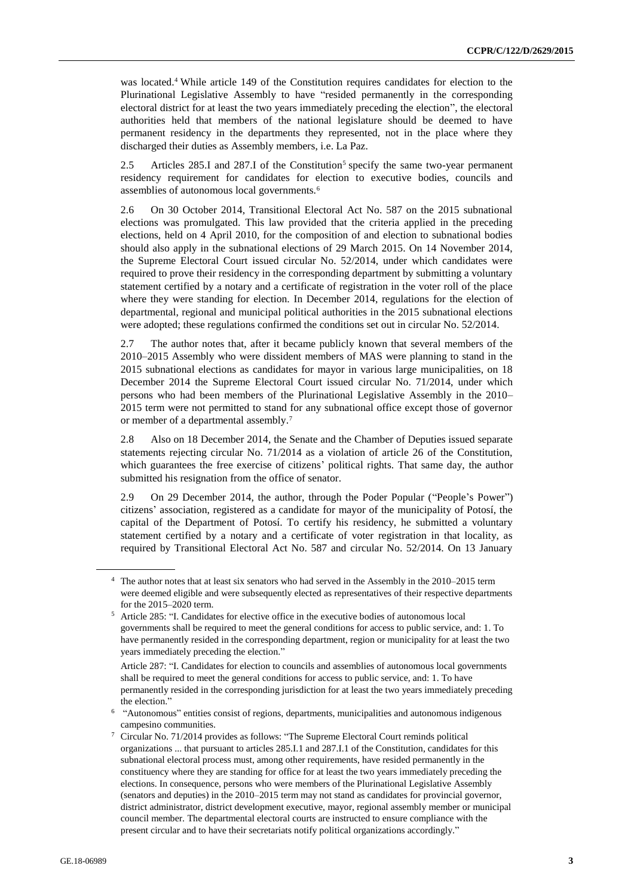was located.<sup>4</sup> While article 149 of the Constitution requires candidates for election to the Plurinational Legislative Assembly to have "resided permanently in the corresponding electoral district for at least the two years immediately preceding the election", the electoral authorities held that members of the national legislature should be deemed to have permanent residency in the departments they represented, not in the place where they discharged their duties as Assembly members, i.e. La Paz.

2.5 Articles 285.I and 287.I of the Constitution<sup>5</sup> specify the same two-year permanent residency requirement for candidates for election to executive bodies, councils and assemblies of autonomous local governments.<sup>6</sup>

2.6 On 30 October 2014, Transitional Electoral Act No. 587 on the 2015 subnational elections was promulgated. This law provided that the criteria applied in the preceding elections, held on 4 April 2010, for the composition of and election to subnational bodies should also apply in the subnational elections of 29 March 2015. On 14 November 2014, the Supreme Electoral Court issued circular No. 52/2014, under which candidates were required to prove their residency in the corresponding department by submitting a voluntary statement certified by a notary and a certificate of registration in the voter roll of the place where they were standing for election. In December 2014, regulations for the election of departmental, regional and municipal political authorities in the 2015 subnational elections were adopted; these regulations confirmed the conditions set out in circular No. 52/2014.

2.7 The author notes that, after it became publicly known that several members of the 2010–2015 Assembly who were dissident members of MAS were planning to stand in the 2015 subnational elections as candidates for mayor in various large municipalities, on 18 December 2014 the Supreme Electoral Court issued circular No. 71/2014, under which persons who had been members of the Plurinational Legislative Assembly in the 2010– 2015 term were not permitted to stand for any subnational office except those of governor or member of a departmental assembly.<sup>7</sup>

2.8 Also on 18 December 2014, the Senate and the Chamber of Deputies issued separate statements rejecting circular No. 71/2014 as a violation of article 26 of the Constitution, which guarantees the free exercise of citizens' political rights. That same day, the author submitted his resignation from the office of senator.

2.9 On 29 December 2014, the author, through the Poder Popular ("People's Power") citizens' association, registered as a candidate for mayor of the municipality of Potosí, the capital of the Department of Potosí. To certify his residency, he submitted a voluntary statement certified by a notary and a certificate of voter registration in that locality, as required by Transitional Electoral Act No. 587 and circular No. 52/2014. On 13 January

<sup>4</sup> The author notes that at least six senators who had served in the Assembly in the 2010–2015 term were deemed eligible and were subsequently elected as representatives of their respective departments for the 2015–2020 term.

<sup>5</sup> Article 285: "I. Candidates for elective office in the executive bodies of autonomous local governments shall be required to meet the general conditions for access to public service, and: 1. To have permanently resided in the corresponding department, region or municipality for at least the two years immediately preceding the election."

Article 287: "I. Candidates for election to councils and assemblies of autonomous local governments shall be required to meet the general conditions for access to public service, and: 1. To have permanently resided in the corresponding jurisdiction for at least the two years immediately preceding the election."

<sup>6</sup> "Autonomous" entities consist of regions, departments, municipalities and autonomous indigenous campesino communities.

<sup>7</sup> Circular No. 71/2014 provides as follows: "The Supreme Electoral Court reminds political organizations ... that pursuant to articles 285.I.1 and 287.I.1 of the Constitution, candidates for this subnational electoral process must, among other requirements, have resided permanently in the constituency where they are standing for office for at least the two years immediately preceding the elections. In consequence, persons who were members of the Plurinational Legislative Assembly (senators and deputies) in the 2010–2015 term may not stand as candidates for provincial governor, district administrator, district development executive, mayor, regional assembly member or municipal council member. The departmental electoral courts are instructed to ensure compliance with the present circular and to have their secretariats notify political organizations accordingly."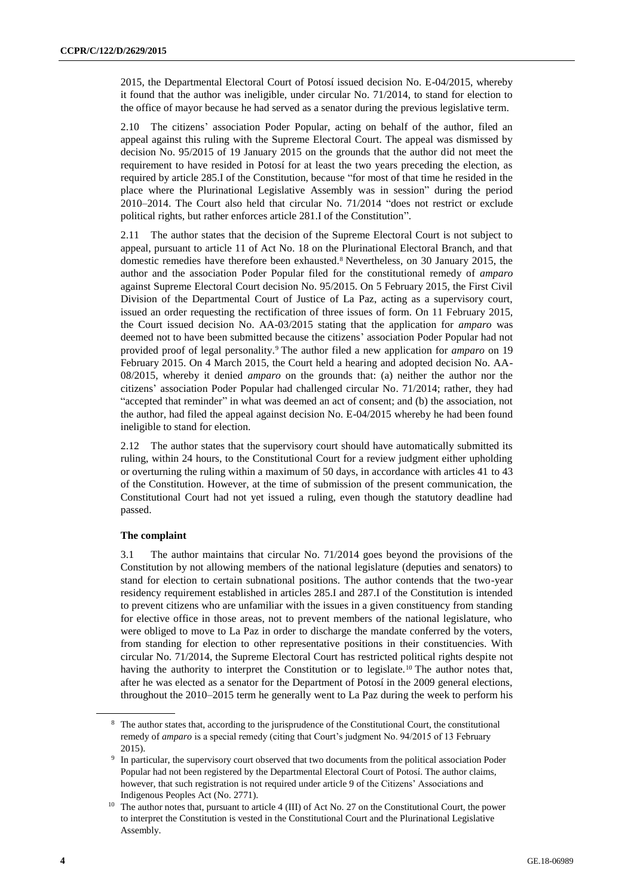2015, the Departmental Electoral Court of Potosí issued decision No. E-04/2015, whereby it found that the author was ineligible, under circular No. 71/2014, to stand for election to the office of mayor because he had served as a senator during the previous legislative term.

2.10 The citizens' association Poder Popular, acting on behalf of the author, filed an appeal against this ruling with the Supreme Electoral Court. The appeal was dismissed by decision No. 95/2015 of 19 January 2015 on the grounds that the author did not meet the requirement to have resided in Potosí for at least the two years preceding the election, as required by article 285.I of the Constitution, because "for most of that time he resided in the place where the Plurinational Legislative Assembly was in session" during the period 2010–2014. The Court also held that circular No. 71/2014 "does not restrict or exclude political rights, but rather enforces article 281.I of the Constitution".

2.11 The author states that the decision of the Supreme Electoral Court is not subject to appeal, pursuant to article 11 of Act No. 18 on the Plurinational Electoral Branch, and that domestic remedies have therefore been exhausted.<sup>8</sup> Nevertheless, on 30 January 2015, the author and the association Poder Popular filed for the constitutional remedy of *amparo* against Supreme Electoral Court decision No. 95/2015. On 5 February 2015, the First Civil Division of the Departmental Court of Justice of La Paz, acting as a supervisory court, issued an order requesting the rectification of three issues of form. On 11 February 2015, the Court issued decision No. AA-03/2015 stating that the application for *amparo* was deemed not to have been submitted because the citizens' association Poder Popular had not provided proof of legal personality.<sup>9</sup> The author filed a new application for *amparo* on 19 February 2015. On 4 March 2015, the Court held a hearing and adopted decision No. AA-08/2015, whereby it denied *amparo* on the grounds that: (a) neither the author nor the citizens' association Poder Popular had challenged circular No. 71/2014; rather, they had "accepted that reminder" in what was deemed an act of consent; and (b) the association, not the author, had filed the appeal against decision No. E-04/2015 whereby he had been found ineligible to stand for election.

2.12 The author states that the supervisory court should have automatically submitted its ruling, within 24 hours, to the Constitutional Court for a review judgment either upholding or overturning the ruling within a maximum of 50 days, in accordance with articles 41 to 43 of the Constitution. However, at the time of submission of the present communication, the Constitutional Court had not yet issued a ruling, even though the statutory deadline had passed.

# **The complaint**

3.1 The author maintains that circular No. 71/2014 goes beyond the provisions of the Constitution by not allowing members of the national legislature (deputies and senators) to stand for election to certain subnational positions. The author contends that the two-year residency requirement established in articles 285.I and 287.I of the Constitution is intended to prevent citizens who are unfamiliar with the issues in a given constituency from standing for elective office in those areas, not to prevent members of the national legislature, who were obliged to move to La Paz in order to discharge the mandate conferred by the voters, from standing for election to other representative positions in their constituencies. With circular No. 71/2014, the Supreme Electoral Court has restricted political rights despite not having the authority to interpret the Constitution or to legislate.<sup>10</sup> The author notes that, after he was elected as a senator for the Department of Potosí in the 2009 general elections, throughout the 2010–2015 term he generally went to La Paz during the week to perform his

<sup>&</sup>lt;sup>8</sup> The author states that, according to the jurisprudence of the Constitutional Court, the constitutional remedy of *amparo* is a special remedy (citing that Court's judgment No. 94/2015 of 13 February 2015).

<sup>9</sup> In particular, the supervisory court observed that two documents from the political association Poder Popular had not been registered by the Departmental Electoral Court of Potosí. The author claims, however, that such registration is not required under article 9 of the Citizens' Associations and Indigenous Peoples Act (No. 2771).

<sup>&</sup>lt;sup>10</sup> The author notes that, pursuant to article 4 (III) of Act No. 27 on the Constitutional Court, the power to interpret the Constitution is vested in the Constitutional Court and the Plurinational Legislative Assembly.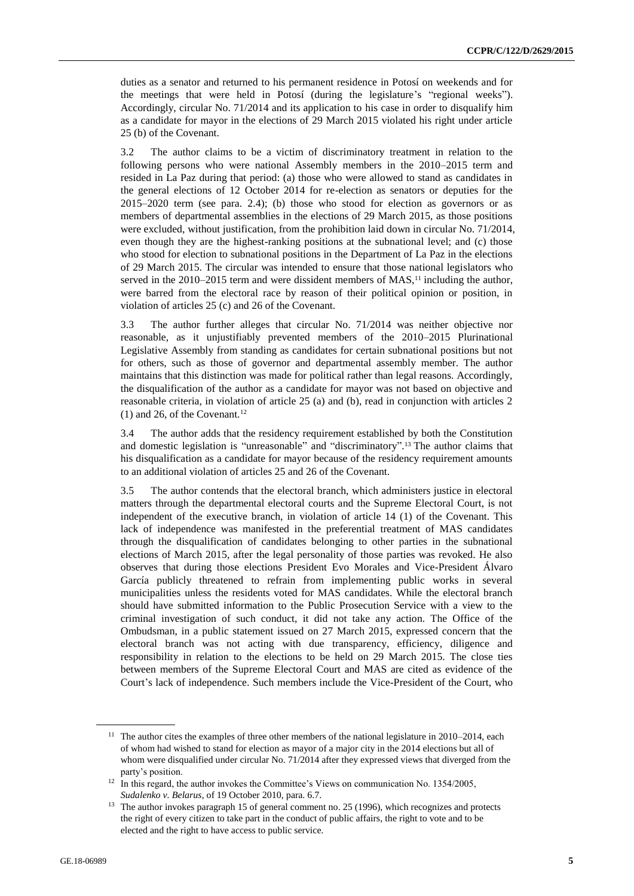duties as a senator and returned to his permanent residence in Potosí on weekends and for the meetings that were held in Potosí (during the legislature's "regional weeks"). Accordingly, circular No. 71/2014 and its application to his case in order to disqualify him as a candidate for mayor in the elections of 29 March 2015 violated his right under article 25 (b) of the Covenant.

3.2 The author claims to be a victim of discriminatory treatment in relation to the following persons who were national Assembly members in the 2010–2015 term and resided in La Paz during that period: (a) those who were allowed to stand as candidates in the general elections of 12 October 2014 for re-election as senators or deputies for the 2015–2020 term (see para. 2.4); (b) those who stood for election as governors or as members of departmental assemblies in the elections of 29 March 2015, as those positions were excluded, without justification, from the prohibition laid down in circular No. 71/2014, even though they are the highest-ranking positions at the subnational level; and (c) those who stood for election to subnational positions in the Department of La Paz in the elections of 29 March 2015. The circular was intended to ensure that those national legislators who served in the  $2010-2015$  term and were dissident members of MAS,<sup>11</sup> including the author, were barred from the electoral race by reason of their political opinion or position, in violation of articles 25 (c) and 26 of the Covenant.

3.3 The author further alleges that circular No. 71/2014 was neither objective nor reasonable, as it unjustifiably prevented members of the 2010–2015 Plurinational Legislative Assembly from standing as candidates for certain subnational positions but not for others, such as those of governor and departmental assembly member. The author maintains that this distinction was made for political rather than legal reasons. Accordingly, the disqualification of the author as a candidate for mayor was not based on objective and reasonable criteria, in violation of article 25 (a) and (b), read in conjunction with articles 2  $(1)$  and 26, of the Covenant.<sup>12</sup>

3.4 The author adds that the residency requirement established by both the Constitution and domestic legislation is "unreasonable" and "discriminatory". <sup>13</sup> The author claims that his disqualification as a candidate for mayor because of the residency requirement amounts to an additional violation of articles 25 and 26 of the Covenant.

3.5 The author contends that the electoral branch, which administers justice in electoral matters through the departmental electoral courts and the Supreme Electoral Court, is not independent of the executive branch, in violation of article 14 (1) of the Covenant. This lack of independence was manifested in the preferential treatment of MAS candidates through the disqualification of candidates belonging to other parties in the subnational elections of March 2015, after the legal personality of those parties was revoked. He also observes that during those elections President Evo Morales and Vice-President Álvaro García publicly threatened to refrain from implementing public works in several municipalities unless the residents voted for MAS candidates. While the electoral branch should have submitted information to the Public Prosecution Service with a view to the criminal investigation of such conduct, it did not take any action. The Office of the Ombudsman, in a public statement issued on 27 March 2015, expressed concern that the electoral branch was not acting with due transparency, efficiency, diligence and responsibility in relation to the elections to be held on 29 March 2015. The close ties between members of the Supreme Electoral Court and MAS are cited as evidence of the Court's lack of independence. Such members include the Vice-President of the Court, who

<sup>&</sup>lt;sup>11</sup> The author cites the examples of three other members of the national legislature in 2010–2014, each of whom had wished to stand for election as mayor of a major city in the 2014 elections but all of whom were disqualified under circular No. 71/2014 after they expressed views that diverged from the party's position.

<sup>&</sup>lt;sup>12</sup> In this regard, the author invokes the Committee's Views on communication No. 1354/2005, *Sudalenko v. Belarus*, of 19 October 2010, para. 6.7.

<sup>&</sup>lt;sup>13</sup> The author invokes paragraph 15 of general comment no. 25 (1996), which recognizes and protects the right of every citizen to take part in the conduct of public affairs, the right to vote and to be elected and the right to have access to public service.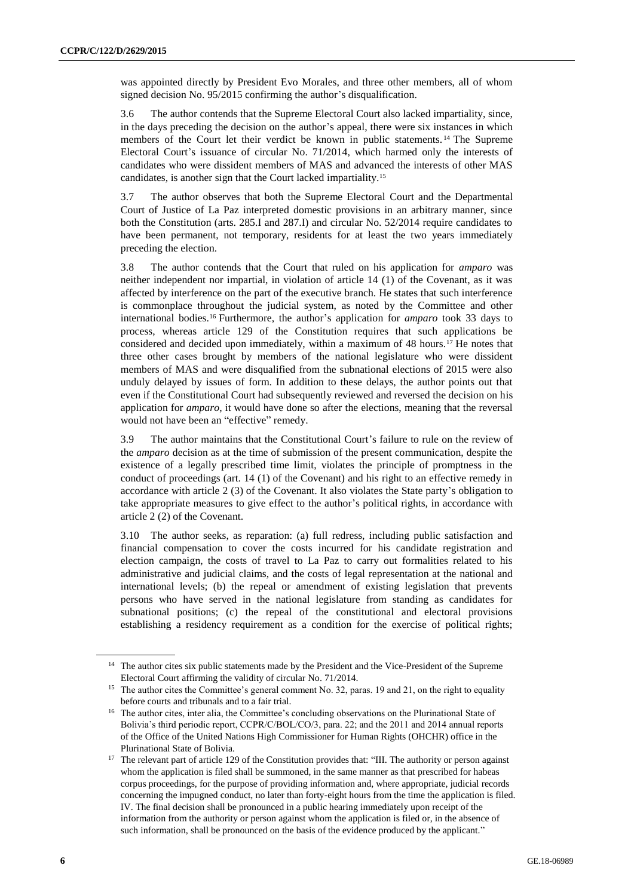was appointed directly by President Evo Morales, and three other members, all of whom signed decision No. 95/2015 confirming the author's disqualification.

3.6 The author contends that the Supreme Electoral Court also lacked impartiality, since, in the days preceding the decision on the author's appeal, there were six instances in which members of the Court let their verdict be known in public statements. <sup>14</sup> The Supreme Electoral Court's issuance of circular No. 71/2014, which harmed only the interests of candidates who were dissident members of MAS and advanced the interests of other MAS candidates, is another sign that the Court lacked impartiality.<sup>15</sup>

3.7 The author observes that both the Supreme Electoral Court and the Departmental Court of Justice of La Paz interpreted domestic provisions in an arbitrary manner, since both the Constitution (arts. 285.I and 287.I) and circular No. 52/2014 require candidates to have been permanent, not temporary, residents for at least the two years immediately preceding the election.

3.8 The author contends that the Court that ruled on his application for *amparo* was neither independent nor impartial, in violation of article 14 (1) of the Covenant, as it was affected by interference on the part of the executive branch. He states that such interference is commonplace throughout the judicial system, as noted by the Committee and other international bodies.<sup>16</sup> Furthermore, the author's application for *amparo* took 33 days to process, whereas article 129 of the Constitution requires that such applications be considered and decided upon immediately, within a maximum of 48 hours.<sup>17</sup> He notes that three other cases brought by members of the national legislature who were dissident members of MAS and were disqualified from the subnational elections of 2015 were also unduly delayed by issues of form. In addition to these delays, the author points out that even if the Constitutional Court had subsequently reviewed and reversed the decision on his application for *amparo*, it would have done so after the elections, meaning that the reversal would not have been an "effective" remedy.

3.9 The author maintains that the Constitutional Court's failure to rule on the review of the *amparo* decision as at the time of submission of the present communication, despite the existence of a legally prescribed time limit, violates the principle of promptness in the conduct of proceedings (art. 14 (1) of the Covenant) and his right to an effective remedy in accordance with article 2 (3) of the Covenant. It also violates the State party's obligation to take appropriate measures to give effect to the author's political rights, in accordance with article 2 (2) of the Covenant.

3.10 The author seeks, as reparation: (a) full redress, including public satisfaction and financial compensation to cover the costs incurred for his candidate registration and election campaign, the costs of travel to La Paz to carry out formalities related to his administrative and judicial claims, and the costs of legal representation at the national and international levels; (b) the repeal or amendment of existing legislation that prevents persons who have served in the national legislature from standing as candidates for subnational positions; (c) the repeal of the constitutional and electoral provisions establishing a residency requirement as a condition for the exercise of political rights;

<sup>&</sup>lt;sup>14</sup> The author cites six public statements made by the President and the Vice-President of the Supreme Electoral Court affirming the validity of circular No. 71/2014.

<sup>&</sup>lt;sup>15</sup> The author cites the Committee's general comment No. 32, paras. 19 and 21, on the right to equality before courts and tribunals and to a fair trial.

<sup>&</sup>lt;sup>16</sup> The author cites, inter alia, the Committee's concluding observations on the Plurinational State of Bolivia's third periodic report, CCPR/C/BOL/CO/3, para. 22; and the 2011 and 2014 annual reports of the Office of the United Nations High Commissioner for Human Rights (OHCHR) office in the Plurinational State of Bolivia.

<sup>&</sup>lt;sup>17</sup> The relevant part of article 129 of the Constitution provides that: "III. The authority or person against whom the application is filed shall be summoned, in the same manner as that prescribed for habeas corpus proceedings, for the purpose of providing information and, where appropriate, judicial records concerning the impugned conduct, no later than forty-eight hours from the time the application is filed. IV. The final decision shall be pronounced in a public hearing immediately upon receipt of the information from the authority or person against whom the application is filed or, in the absence of such information, shall be pronounced on the basis of the evidence produced by the applicant."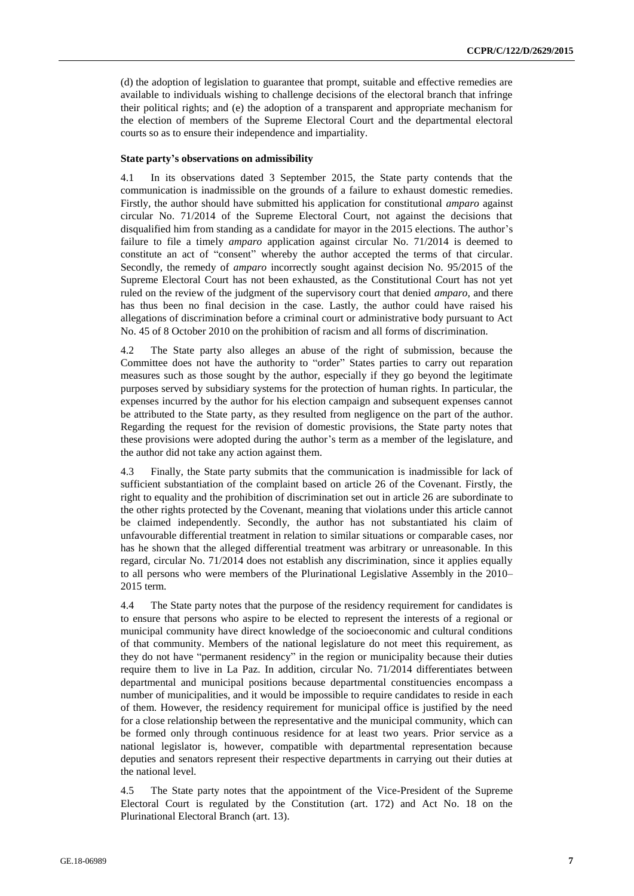(d) the adoption of legislation to guarantee that prompt, suitable and effective remedies are available to individuals wishing to challenge decisions of the electoral branch that infringe their political rights; and (e) the adoption of a transparent and appropriate mechanism for the election of members of the Supreme Electoral Court and the departmental electoral courts so as to ensure their independence and impartiality.

# **State party's observations on admissibility**

4.1 In its observations dated 3 September 2015, the State party contends that the communication is inadmissible on the grounds of a failure to exhaust domestic remedies. Firstly, the author should have submitted his application for constitutional *amparo* against circular No. 71/2014 of the Supreme Electoral Court, not against the decisions that disqualified him from standing as a candidate for mayor in the 2015 elections. The author's failure to file a timely *amparo* application against circular No. 71/2014 is deemed to constitute an act of "consent" whereby the author accepted the terms of that circular. Secondly, the remedy of *amparo* incorrectly sought against decision No. 95/2015 of the Supreme Electoral Court has not been exhausted, as the Constitutional Court has not yet ruled on the review of the judgment of the supervisory court that denied *amparo*, and there has thus been no final decision in the case. Lastly, the author could have raised his allegations of discrimination before a criminal court or administrative body pursuant to Act No. 45 of 8 October 2010 on the prohibition of racism and all forms of discrimination.

4.2 The State party also alleges an abuse of the right of submission, because the Committee does not have the authority to "order" States parties to carry out reparation measures such as those sought by the author, especially if they go beyond the legitimate purposes served by subsidiary systems for the protection of human rights. In particular, the expenses incurred by the author for his election campaign and subsequent expenses cannot be attributed to the State party, as they resulted from negligence on the part of the author. Regarding the request for the revision of domestic provisions, the State party notes that these provisions were adopted during the author's term as a member of the legislature, and the author did not take any action against them.

4.3 Finally, the State party submits that the communication is inadmissible for lack of sufficient substantiation of the complaint based on article 26 of the Covenant. Firstly, the right to equality and the prohibition of discrimination set out in article 26 are subordinate to the other rights protected by the Covenant, meaning that violations under this article cannot be claimed independently. Secondly, the author has not substantiated his claim of unfavourable differential treatment in relation to similar situations or comparable cases, nor has he shown that the alleged differential treatment was arbitrary or unreasonable. In this regard, circular No. 71/2014 does not establish any discrimination, since it applies equally to all persons who were members of the Plurinational Legislative Assembly in the 2010– 2015 term.

4.4 The State party notes that the purpose of the residency requirement for candidates is to ensure that persons who aspire to be elected to represent the interests of a regional or municipal community have direct knowledge of the socioeconomic and cultural conditions of that community. Members of the national legislature do not meet this requirement, as they do not have "permanent residency" in the region or municipality because their duties require them to live in La Paz. In addition, circular No. 71/2014 differentiates between departmental and municipal positions because departmental constituencies encompass a number of municipalities, and it would be impossible to require candidates to reside in each of them. However, the residency requirement for municipal office is justified by the need for a close relationship between the representative and the municipal community, which can be formed only through continuous residence for at least two years. Prior service as a national legislator is, however, compatible with departmental representation because deputies and senators represent their respective departments in carrying out their duties at the national level.

4.5 The State party notes that the appointment of the Vice-President of the Supreme Electoral Court is regulated by the Constitution (art. 172) and Act No. 18 on the Plurinational Electoral Branch (art. 13).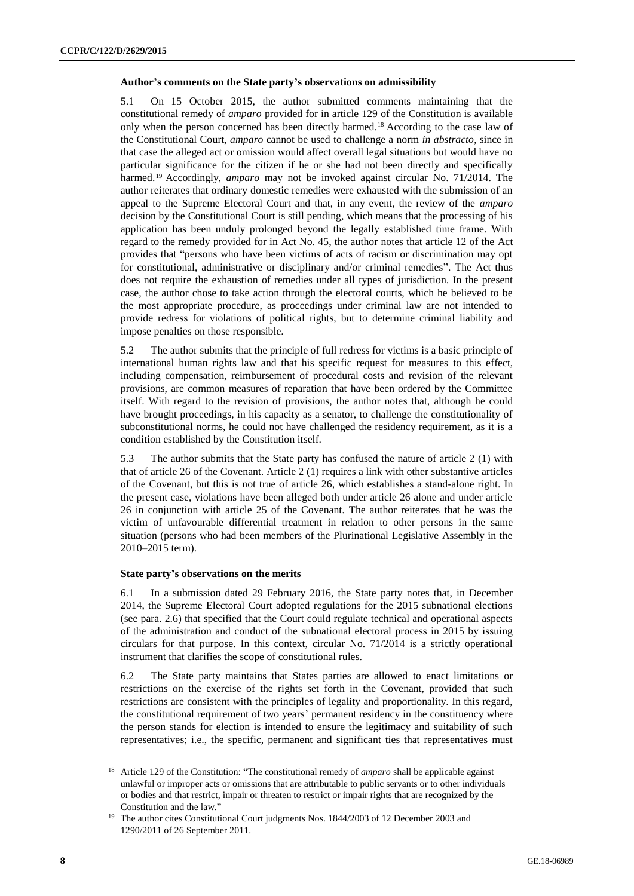# **Author's comments on the State party's observations on admissibility**

5.1 On 15 October 2015, the author submitted comments maintaining that the constitutional remedy of *amparo* provided for in article 129 of the Constitution is available only when the person concerned has been directly harmed.<sup>18</sup> According to the case law of the Constitutional Court, *amparo* cannot be used to challenge a norm *in abstracto*, since in that case the alleged act or omission would affect overall legal situations but would have no particular significance for the citizen if he or she had not been directly and specifically harmed. <sup>19</sup> Accordingly, *amparo* may not be invoked against circular No. 71/2014. The author reiterates that ordinary domestic remedies were exhausted with the submission of an appeal to the Supreme Electoral Court and that, in any event, the review of the *amparo* decision by the Constitutional Court is still pending, which means that the processing of his application has been unduly prolonged beyond the legally established time frame. With regard to the remedy provided for in Act No. 45, the author notes that article 12 of the Act provides that "persons who have been victims of acts of racism or discrimination may opt for constitutional, administrative or disciplinary and/or criminal remedies". The Act thus does not require the exhaustion of remedies under all types of jurisdiction. In the present case, the author chose to take action through the electoral courts, which he believed to be the most appropriate procedure, as proceedings under criminal law are not intended to provide redress for violations of political rights, but to determine criminal liability and impose penalties on those responsible.

5.2 The author submits that the principle of full redress for victims is a basic principle of international human rights law and that his specific request for measures to this effect, including compensation, reimbursement of procedural costs and revision of the relevant provisions, are common measures of reparation that have been ordered by the Committee itself. With regard to the revision of provisions, the author notes that, although he could have brought proceedings, in his capacity as a senator, to challenge the constitutionality of subconstitutional norms, he could not have challenged the residency requirement, as it is a condition established by the Constitution itself.

5.3 The author submits that the State party has confused the nature of article 2 (1) with that of article 26 of the Covenant. Article 2 (1) requires a link with other substantive articles of the Covenant, but this is not true of article 26, which establishes a stand-alone right. In the present case, violations have been alleged both under article 26 alone and under article 26 in conjunction with article 25 of the Covenant. The author reiterates that he was the victim of unfavourable differential treatment in relation to other persons in the same situation (persons who had been members of the Plurinational Legislative Assembly in the 2010–2015 term).

#### **State party's observations on the merits**

6.1 In a submission dated 29 February 2016, the State party notes that, in December 2014, the Supreme Electoral Court adopted regulations for the 2015 subnational elections (see para. 2.6) that specified that the Court could regulate technical and operational aspects of the administration and conduct of the subnational electoral process in 2015 by issuing circulars for that purpose. In this context, circular No. 71/2014 is a strictly operational instrument that clarifies the scope of constitutional rules.

6.2 The State party maintains that States parties are allowed to enact limitations or restrictions on the exercise of the rights set forth in the Covenant, provided that such restrictions are consistent with the principles of legality and proportionality. In this regard, the constitutional requirement of two years' permanent residency in the constituency where the person stands for election is intended to ensure the legitimacy and suitability of such representatives; i.e., the specific, permanent and significant ties that representatives must

<sup>&</sup>lt;sup>18</sup> Article 129 of the Constitution: "The constitutional remedy of *amparo* shall be applicable against unlawful or improper acts or omissions that are attributable to public servants or to other individuals or bodies and that restrict, impair or threaten to restrict or impair rights that are recognized by the Constitution and the law."

<sup>&</sup>lt;sup>19</sup> The author cites Constitutional Court judgments Nos. 1844/2003 of 12 December 2003 and 1290/2011 of 26 September 2011.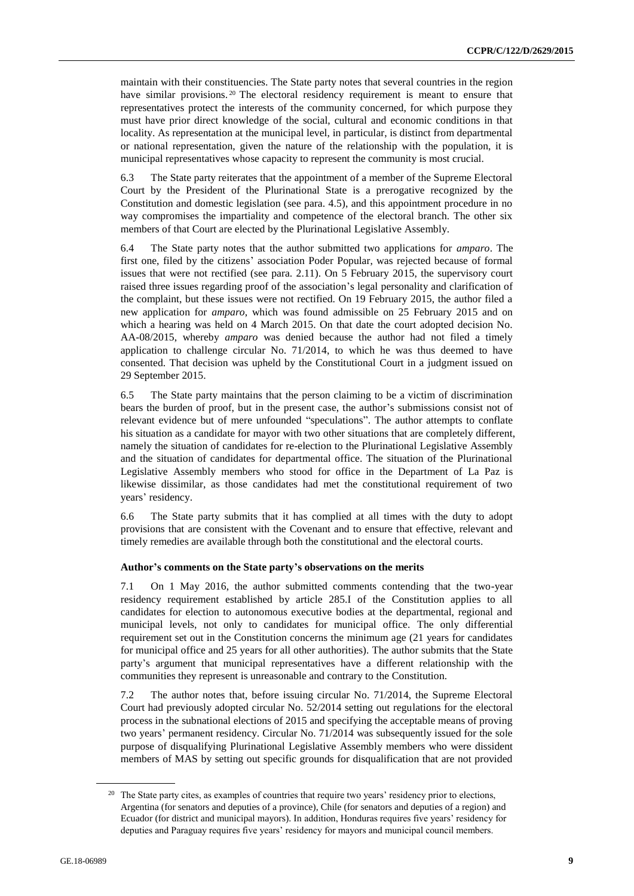maintain with their constituencies. The State party notes that several countries in the region have similar provisions.<sup>20</sup> The electoral residency requirement is meant to ensure that representatives protect the interests of the community concerned, for which purpose they must have prior direct knowledge of the social, cultural and economic conditions in that locality. As representation at the municipal level, in particular, is distinct from departmental or national representation, given the nature of the relationship with the population, it is municipal representatives whose capacity to represent the community is most crucial.

6.3 The State party reiterates that the appointment of a member of the Supreme Electoral Court by the President of the Plurinational State is a prerogative recognized by the Constitution and domestic legislation (see para. 4.5), and this appointment procedure in no way compromises the impartiality and competence of the electoral branch. The other six members of that Court are elected by the Plurinational Legislative Assembly.

6.4 The State party notes that the author submitted two applications for *amparo*. The first one, filed by the citizens' association Poder Popular, was rejected because of formal issues that were not rectified (see para. 2.11). On 5 February 2015, the supervisory court raised three issues regarding proof of the association's legal personality and clarification of the complaint, but these issues were not rectified. On 19 February 2015, the author filed a new application for *amparo*, which was found admissible on 25 February 2015 and on which a hearing was held on 4 March 2015. On that date the court adopted decision No. AA-08/2015, whereby *amparo* was denied because the author had not filed a timely application to challenge circular No. 71/2014, to which he was thus deemed to have consented. That decision was upheld by the Constitutional Court in a judgment issued on 29 September 2015.

6.5 The State party maintains that the person claiming to be a victim of discrimination bears the burden of proof, but in the present case, the author's submissions consist not of relevant evidence but of mere unfounded "speculations". The author attempts to conflate his situation as a candidate for mayor with two other situations that are completely different, namely the situation of candidates for re-election to the Plurinational Legislative Assembly and the situation of candidates for departmental office. The situation of the Plurinational Legislative Assembly members who stood for office in the Department of La Paz is likewise dissimilar, as those candidates had met the constitutional requirement of two years' residency.

6.6 The State party submits that it has complied at all times with the duty to adopt provisions that are consistent with the Covenant and to ensure that effective, relevant and timely remedies are available through both the constitutional and the electoral courts.

#### **Author's comments on the State party's observations on the merits**

7.1 On 1 May 2016, the author submitted comments contending that the two-year residency requirement established by article 285.I of the Constitution applies to all candidates for election to autonomous executive bodies at the departmental, regional and municipal levels, not only to candidates for municipal office. The only differential requirement set out in the Constitution concerns the minimum age (21 years for candidates for municipal office and 25 years for all other authorities). The author submits that the State party's argument that municipal representatives have a different relationship with the communities they represent is unreasonable and contrary to the Constitution.

7.2 The author notes that, before issuing circular No. 71/2014, the Supreme Electoral Court had previously adopted circular No. 52/2014 setting out regulations for the electoral process in the subnational elections of 2015 and specifying the acceptable means of proving two years' permanent residency. Circular No. 71/2014 was subsequently issued for the sole purpose of disqualifying Plurinational Legislative Assembly members who were dissident members of MAS by setting out specific grounds for disqualification that are not provided

<sup>&</sup>lt;sup>20</sup> The State party cites, as examples of countries that require two years' residency prior to elections, Argentina (for senators and deputies of a province), Chile (for senators and deputies of a region) and Ecuador (for district and municipal mayors). In addition, Honduras requires five years' residency for deputies and Paraguay requires five years' residency for mayors and municipal council members.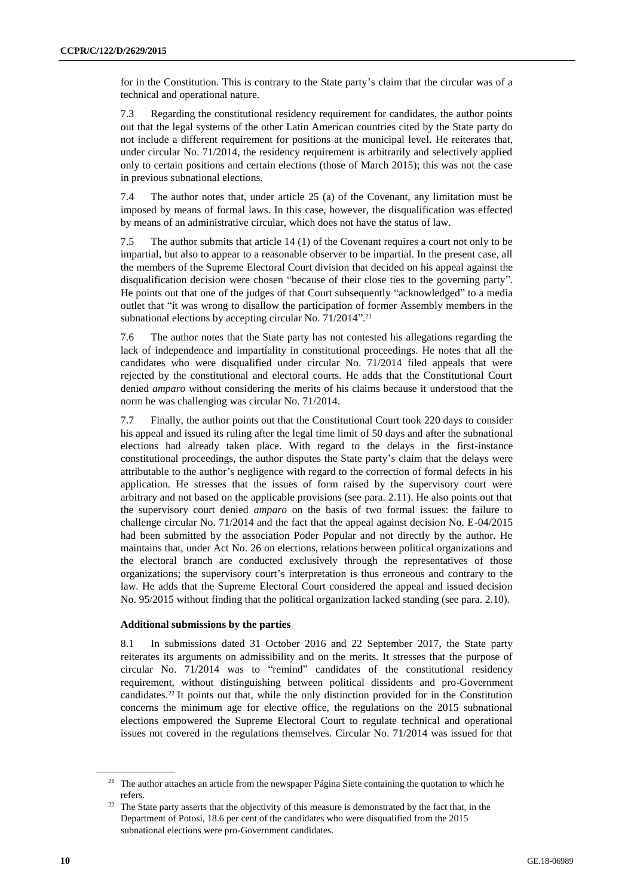for in the Constitution. This is contrary to the State party's claim that the circular was of a technical and operational nature.

7.3 Regarding the constitutional residency requirement for candidates, the author points out that the legal systems of the other Latin American countries cited by the State party do not include a different requirement for positions at the municipal level. He reiterates that, under circular No. 71/2014, the residency requirement is arbitrarily and selectively applied only to certain positions and certain elections (those of March 2015); this was not the case in previous subnational elections.

7.4 The author notes that, under article 25 (a) of the Covenant, any limitation must be imposed by means of formal laws. In this case, however, the disqualification was effected by means of an administrative circular, which does not have the status of law.

7.5 The author submits that article 14 (1) of the Covenant requires a court not only to be impartial, but also to appear to a reasonable observer to be impartial. In the present case, all the members of the Supreme Electoral Court division that decided on his appeal against the disqualification decision were chosen "because of their close ties to the governing party". He points out that one of the judges of that Court subsequently "acknowledged" to a media outlet that "it was wrong to disallow the participation of former Assembly members in the subnational elections by accepting circular No. 71/2014". 21

7.6 The author notes that the State party has not contested his allegations regarding the lack of independence and impartiality in constitutional proceedings. He notes that all the candidates who were disqualified under circular No. 71/2014 filed appeals that were rejected by the constitutional and electoral courts. He adds that the Constitutional Court denied *amparo* without considering the merits of his claims because it understood that the norm he was challenging was circular No. 71/2014.

7.7 Finally, the author points out that the Constitutional Court took 220 days to consider his appeal and issued its ruling after the legal time limit of 50 days and after the subnational elections had already taken place. With regard to the delays in the first-instance constitutional proceedings, the author disputes the State party's claim that the delays were attributable to the author's negligence with regard to the correction of formal defects in his application. He stresses that the issues of form raised by the supervisory court were arbitrary and not based on the applicable provisions (see para. 2.11). He also points out that the supervisory court denied *amparo* on the basis of two formal issues: the failure to challenge circular No. 71/2014 and the fact that the appeal against decision No. E-04/2015 had been submitted by the association Poder Popular and not directly by the author. He maintains that, under Act No. 26 on elections, relations between political organizations and the electoral branch are conducted exclusively through the representatives of those organizations; the supervisory court's interpretation is thus erroneous and contrary to the law. He adds that the Supreme Electoral Court considered the appeal and issued decision No. 95/2015 without finding that the political organization lacked standing (see para. 2.10).

# **Additional submissions by the parties**

8.1 In submissions dated 31 October 2016 and 22 September 2017, the State party reiterates its arguments on admissibility and on the merits. It stresses that the purpose of circular No. 71/2014 was to "remind" candidates of the constitutional residency requirement, without distinguishing between political dissidents and pro-Government candidates.<sup>22</sup> It points out that, while the only distinction provided for in the Constitution concerns the minimum age for elective office, the regulations on the 2015 subnational elections empowered the Supreme Electoral Court to regulate technical and operational issues not covered in the regulations themselves. Circular No. 71/2014 was issued for that

<sup>&</sup>lt;sup>21</sup> The author attaches an article from the newspaper Página Siete containing the quotation to which he refers.

<sup>&</sup>lt;sup>22</sup> The State party asserts that the objectivity of this measure is demonstrated by the fact that, in the Department of Potosí, 18.6 per cent of the candidates who were disqualified from the 2015 subnational elections were pro-Government candidates.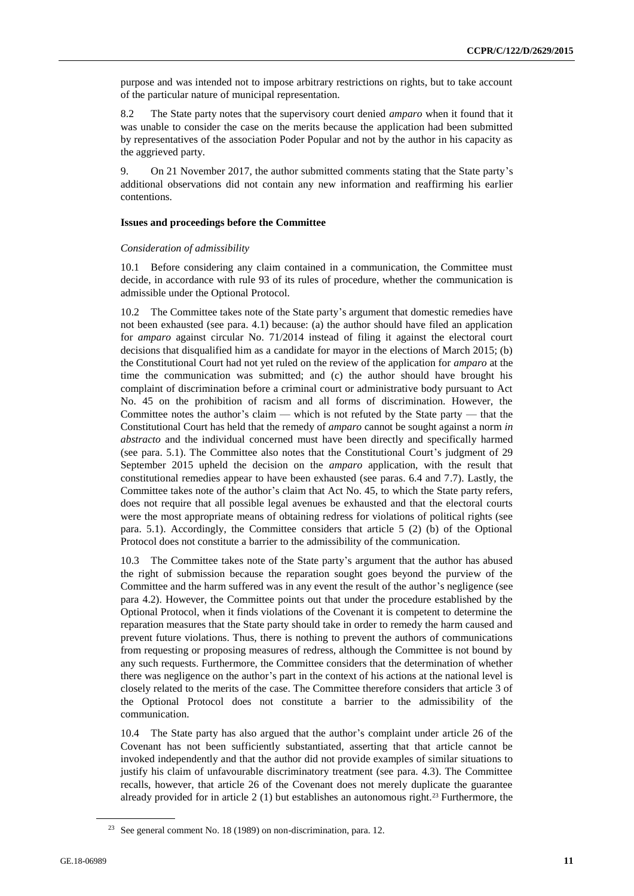purpose and was intended not to impose arbitrary restrictions on rights, but to take account of the particular nature of municipal representation.

8.2 The State party notes that the supervisory court denied *amparo* when it found that it was unable to consider the case on the merits because the application had been submitted by representatives of the association Poder Popular and not by the author in his capacity as the aggrieved party.

9. On 21 November 2017, the author submitted comments stating that the State party's additional observations did not contain any new information and reaffirming his earlier contentions.

# **Issues and proceedings before the Committee**

# *Consideration of admissibility*

10.1 Before considering any claim contained in a communication, the Committee must decide, in accordance with rule 93 of its rules of procedure, whether the communication is admissible under the Optional Protocol.

10.2 The Committee takes note of the State party's argument that domestic remedies have not been exhausted (see para. 4.1) because: (a) the author should have filed an application for *amparo* against circular No. 71/2014 instead of filing it against the electoral court decisions that disqualified him as a candidate for mayor in the elections of March 2015; (b) the Constitutional Court had not yet ruled on the review of the application for *amparo* at the time the communication was submitted; and (c) the author should have brought his complaint of discrimination before a criminal court or administrative body pursuant to Act No. 45 on the prohibition of racism and all forms of discrimination. However, the Committee notes the author's claim — which is not refuted by the State party — that the Constitutional Court has held that the remedy of *amparo* cannot be sought against a norm *in abstracto* and the individual concerned must have been directly and specifically harmed (see para. 5.1). The Committee also notes that the Constitutional Court's judgment of 29 September 2015 upheld the decision on the *amparo* application, with the result that constitutional remedies appear to have been exhausted (see paras. 6.4 and 7.7). Lastly, the Committee takes note of the author's claim that Act No. 45, to which the State party refers, does not require that all possible legal avenues be exhausted and that the electoral courts were the most appropriate means of obtaining redress for violations of political rights (see para. 5.1). Accordingly, the Committee considers that article 5 (2) (b) of the Optional Protocol does not constitute a barrier to the admissibility of the communication.

The Committee takes note of the State party's argument that the author has abused the right of submission because the reparation sought goes beyond the purview of the Committee and the harm suffered was in any event the result of the author's negligence (see para 4.2). However, the Committee points out that under the procedure established by the Optional Protocol, when it finds violations of the Covenant it is competent to determine the reparation measures that the State party should take in order to remedy the harm caused and prevent future violations. Thus, there is nothing to prevent the authors of communications from requesting or proposing measures of redress, although the Committee is not bound by any such requests. Furthermore, the Committee considers that the determination of whether there was negligence on the author's part in the context of his actions at the national level is closely related to the merits of the case. The Committee therefore considers that article 3 of the Optional Protocol does not constitute a barrier to the admissibility of the communication.

10.4 The State party has also argued that the author's complaint under article 26 of the Covenant has not been sufficiently substantiated, asserting that that article cannot be invoked independently and that the author did not provide examples of similar situations to justify his claim of unfavourable discriminatory treatment (see para. 4.3). The Committee recalls, however, that article 26 of the Covenant does not merely duplicate the guarantee already provided for in article  $2(1)$  but establishes an autonomous right.<sup>23</sup> Furthermore, the

<sup>23</sup> See general comment No. 18 (1989) on non-discrimination, para. 12.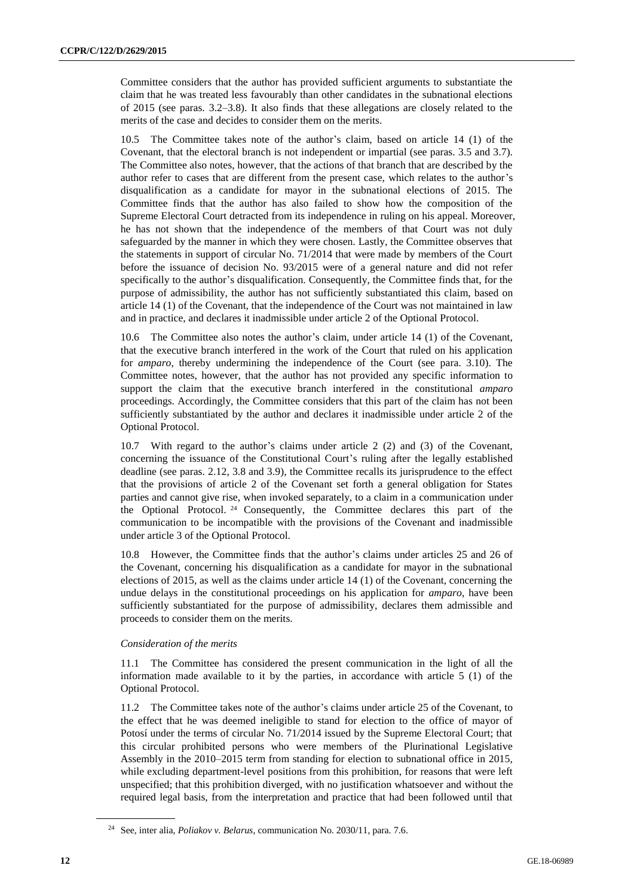Committee considers that the author has provided sufficient arguments to substantiate the claim that he was treated less favourably than other candidates in the subnational elections of 2015 (see paras. 3.2–3.8). It also finds that these allegations are closely related to the merits of the case and decides to consider them on the merits.

10.5 The Committee takes note of the author's claim, based on article 14 (1) of the Covenant, that the electoral branch is not independent or impartial (see paras. 3.5 and 3.7). The Committee also notes, however, that the actions of that branch that are described by the author refer to cases that are different from the present case, which relates to the author's disqualification as a candidate for mayor in the subnational elections of 2015. The Committee finds that the author has also failed to show how the composition of the Supreme Electoral Court detracted from its independence in ruling on his appeal. Moreover, he has not shown that the independence of the members of that Court was not duly safeguarded by the manner in which they were chosen. Lastly, the Committee observes that the statements in support of circular No. 71/2014 that were made by members of the Court before the issuance of decision No. 93/2015 were of a general nature and did not refer specifically to the author's disqualification. Consequently, the Committee finds that, for the purpose of admissibility, the author has not sufficiently substantiated this claim, based on article 14 (1) of the Covenant, that the independence of the Court was not maintained in law and in practice, and declares it inadmissible under article 2 of the Optional Protocol.

10.6 The Committee also notes the author's claim, under article 14 (1) of the Covenant, that the executive branch interfered in the work of the Court that ruled on his application for *amparo*, thereby undermining the independence of the Court (see para. 3.10). The Committee notes, however, that the author has not provided any specific information to support the claim that the executive branch interfered in the constitutional *amparo* proceedings. Accordingly, the Committee considers that this part of the claim has not been sufficiently substantiated by the author and declares it inadmissible under article 2 of the Optional Protocol.

10.7 With regard to the author's claims under article 2 (2) and (3) of the Covenant, concerning the issuance of the Constitutional Court's ruling after the legally established deadline (see paras. 2.12, 3.8 and 3.9), the Committee recalls its jurisprudence to the effect that the provisions of article 2 of the Covenant set forth a general obligation for States parties and cannot give rise, when invoked separately, to a claim in a communication under the Optional Protocol. <sup>24</sup> Consequently, the Committee declares this part of the communication to be incompatible with the provisions of the Covenant and inadmissible under article 3 of the Optional Protocol.

10.8 However, the Committee finds that the author's claims under articles 25 and 26 of the Covenant, concerning his disqualification as a candidate for mayor in the subnational elections of 2015, as well as the claims under article 14 (1) of the Covenant, concerning the undue delays in the constitutional proceedings on his application for *amparo*, have been sufficiently substantiated for the purpose of admissibility, declares them admissible and proceeds to consider them on the merits.

# *Consideration of the merits*

11.1 The Committee has considered the present communication in the light of all the information made available to it by the parties, in accordance with article 5 (1) of the Optional Protocol.

11.2 The Committee takes note of the author's claims under article 25 of the Covenant, to the effect that he was deemed ineligible to stand for election to the office of mayor of Potosí under the terms of circular No. 71/2014 issued by the Supreme Electoral Court; that this circular prohibited persons who were members of the Plurinational Legislative Assembly in the 2010–2015 term from standing for election to subnational office in 2015, while excluding department-level positions from this prohibition, for reasons that were left unspecified; that this prohibition diverged, with no justification whatsoever and without the required legal basis, from the interpretation and practice that had been followed until that

<sup>24</sup> See, inter alia, *Poliakov v. Belarus*, communication No. 2030/11, para. 7.6.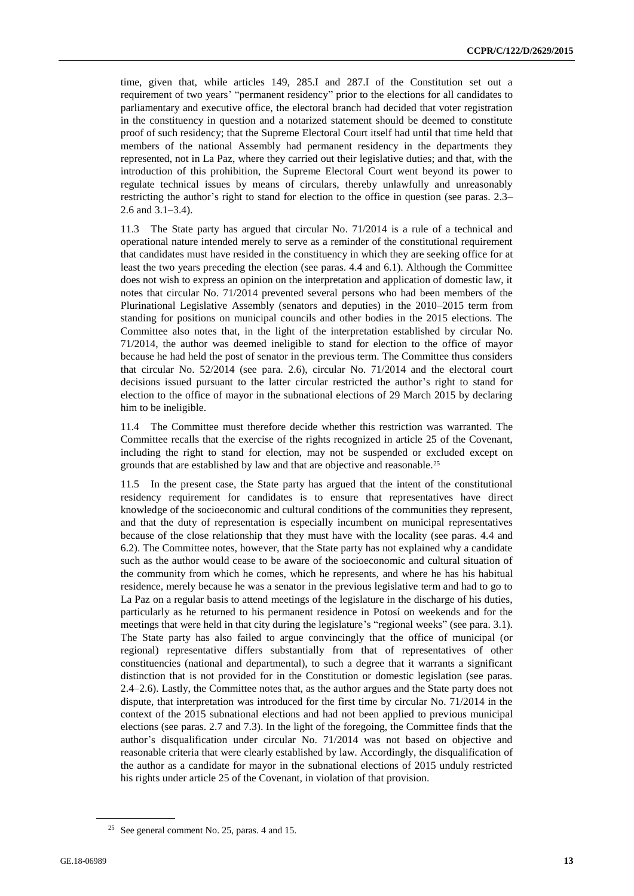time, given that, while articles 149, 285.I and 287.I of the Constitution set out a requirement of two years' "permanent residency" prior to the elections for all candidates to parliamentary and executive office, the electoral branch had decided that voter registration in the constituency in question and a notarized statement should be deemed to constitute proof of such residency; that the Supreme Electoral Court itself had until that time held that members of the national Assembly had permanent residency in the departments they represented, not in La Paz, where they carried out their legislative duties; and that, with the introduction of this prohibition, the Supreme Electoral Court went beyond its power to regulate technical issues by means of circulars, thereby unlawfully and unreasonably restricting the author's right to stand for election to the office in question (see paras. 2.3– 2.6 and 3.1–3.4).

11.3 The State party has argued that circular No. 71/2014 is a rule of a technical and operational nature intended merely to serve as a reminder of the constitutional requirement that candidates must have resided in the constituency in which they are seeking office for at least the two years preceding the election (see paras. 4.4 and 6.1). Although the Committee does not wish to express an opinion on the interpretation and application of domestic law, it notes that circular No. 71/2014 prevented several persons who had been members of the Plurinational Legislative Assembly (senators and deputies) in the 2010–2015 term from standing for positions on municipal councils and other bodies in the 2015 elections. The Committee also notes that, in the light of the interpretation established by circular No. 71/2014, the author was deemed ineligible to stand for election to the office of mayor because he had held the post of senator in the previous term. The Committee thus considers that circular No. 52/2014 (see para. 2.6), circular No. 71/2014 and the electoral court decisions issued pursuant to the latter circular restricted the author's right to stand for election to the office of mayor in the subnational elections of 29 March 2015 by declaring him to be ineligible.

11.4 The Committee must therefore decide whether this restriction was warranted. The Committee recalls that the exercise of the rights recognized in article 25 of the Covenant, including the right to stand for election, may not be suspended or excluded except on grounds that are established by law and that are objective and reasonable.<sup>25</sup>

11.5 In the present case, the State party has argued that the intent of the constitutional residency requirement for candidates is to ensure that representatives have direct knowledge of the socioeconomic and cultural conditions of the communities they represent, and that the duty of representation is especially incumbent on municipal representatives because of the close relationship that they must have with the locality (see paras. 4.4 and 6.2). The Committee notes, however, that the State party has not explained why a candidate such as the author would cease to be aware of the socioeconomic and cultural situation of the community from which he comes, which he represents, and where he has his habitual residence, merely because he was a senator in the previous legislative term and had to go to La Paz on a regular basis to attend meetings of the legislature in the discharge of his duties, particularly as he returned to his permanent residence in Potosí on weekends and for the meetings that were held in that city during the legislature's "regional weeks" (see para. 3.1). The State party has also failed to argue convincingly that the office of municipal (or regional) representative differs substantially from that of representatives of other constituencies (national and departmental), to such a degree that it warrants a significant distinction that is not provided for in the Constitution or domestic legislation (see paras. 2.4–2.6). Lastly, the Committee notes that, as the author argues and the State party does not dispute, that interpretation was introduced for the first time by circular No. 71/2014 in the context of the 2015 subnational elections and had not been applied to previous municipal elections (see paras. 2.7 and 7.3). In the light of the foregoing, the Committee finds that the author's disqualification under circular No. 71/2014 was not based on objective and reasonable criteria that were clearly established by law. Accordingly, the disqualification of the author as a candidate for mayor in the subnational elections of 2015 unduly restricted his rights under article 25 of the Covenant, in violation of that provision.

<sup>25</sup> See general comment No. 25, paras. 4 and 15.